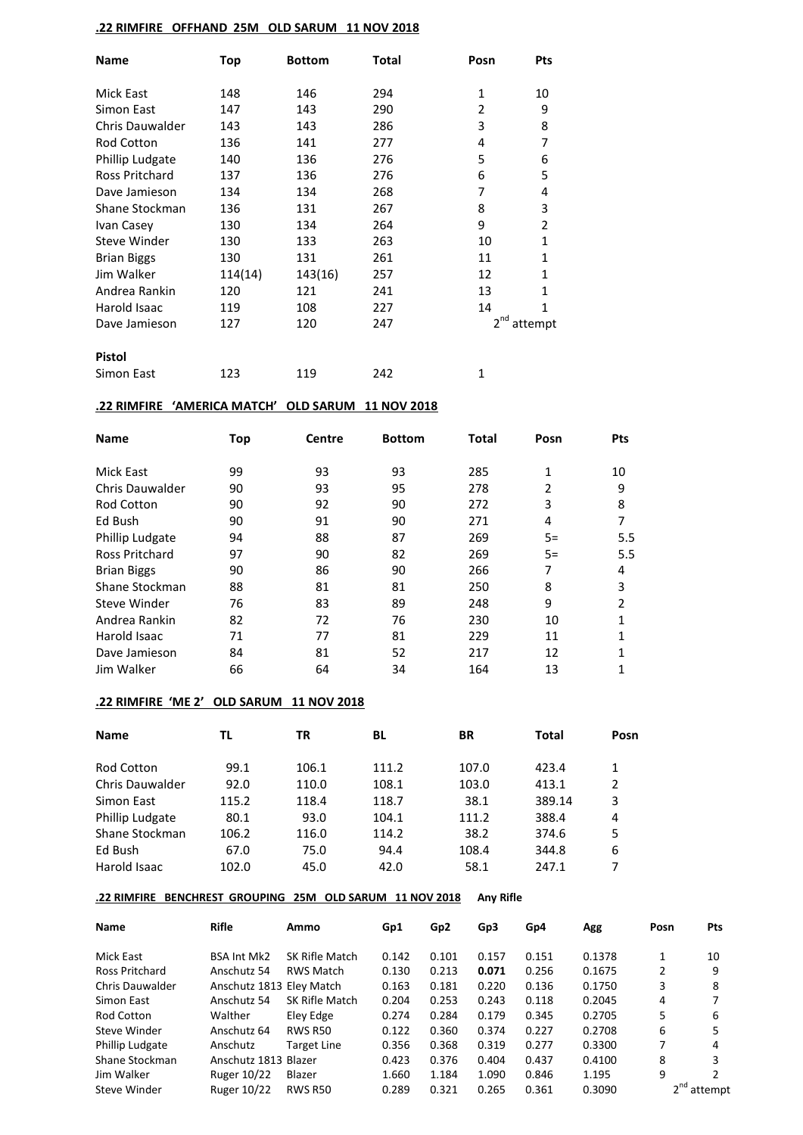### **.22 RIMFIRE OFFHAND 25M OLD SARUM 11 NOV 2018**

| <b>Name</b>            | Top     | <b>Bottom</b> | Total | Posn            | <b>Pts</b>   |
|------------------------|---------|---------------|-------|-----------------|--------------|
| Mick East              | 148     | 146           | 294   | $\mathbf{1}$    | 10           |
| Simon East             | 147     | 143           | 290   | 2               | 9            |
| <b>Chris Dauwalder</b> | 143     | 143           | 286   | 3               | 8            |
| Rod Cotton             | 136     | 141           | 277   | 4               | 7            |
| Phillip Ludgate        | 140     | 136           | 276   | 5               | 6            |
| <b>Ross Pritchard</b>  | 137     | 136           | 276   | 6               | 5            |
| Dave Jamieson          | 134     | 134           | 268   | 7               | 4            |
| Shane Stockman         | 136     | 131           | 267   | 8               | 3            |
| Ivan Casey             | 130     | 134           | 264   | 9               | 2            |
| <b>Steve Winder</b>    | 130     | 133           | 263   | 10              | $\mathbf{1}$ |
| <b>Brian Biggs</b>     | 130     | 131           | 261   | 11              | 1            |
| Jim Walker             | 114(14) | 143(16)       | 257   | 12              | $\mathbf{1}$ |
| Andrea Rankin          | 120     | 121           | 241   | 13              | 1            |
| Harold Isaac           | 119     | 108           | 227   | 14              | 1            |
| Dave Jamieson          | 127     | 120           | 247   | 2 <sup>nd</sup> | attempt      |
| <b>Pistol</b>          |         |               |       |                 |              |
| Simon East             | 123     | 119           | 242   | 1               |              |

# **.22 RIMFIRE 'AMERICA MATCH' OLD SARUM 11 NOV 2018**

| <b>Name</b>           | Top | <b>Centre</b> | <b>Bottom</b> | <b>Total</b> | Posn           | Pts            |
|-----------------------|-----|---------------|---------------|--------------|----------------|----------------|
| Mick East             | 99  | 93            | 93            | 285          | 1              | 10             |
| Chris Dauwalder       | 90  | 93            | 95            | 278          | $\overline{2}$ | 9              |
| <b>Rod Cotton</b>     | 90  | 92            | 90            | 272          | 3              | 8              |
| Ed Bush               | 90  | 91            | 90            | 271          | 4              | 7              |
| Phillip Ludgate       | 94  | 88            | 87            | 269          | $5=$           | 5.5            |
| <b>Ross Pritchard</b> | 97  | 90            | 82            | 269          | $5=$           | 5.5            |
| <b>Brian Biggs</b>    | 90  | 86            | 90            | 266          | 7              | 4              |
| Shane Stockman        | 88  | 81            | 81            | 250          | 8              | 3              |
| Steve Winder          | 76  | 83            | 89            | 248          | 9              | $\mathfrak{p}$ |
| Andrea Rankin         | 82  | 72            | 76            | 230          | 10             | 1              |
| Harold Isaac          | 71  | 77            | 81            | 229          | 11             | 1              |
| Dave Jamieson         | 84  | 81            | 52            | 217          | 12             | 1              |
| Jim Walker            | 66  | 64            | 34            | 164          | 13             |                |

## **.22 RIMFIRE 'ME 2' OLD SARUM 11 NOV 2018**

| <b>Name</b>            | TL    | ΤR    | BL.   | BR    | Total  | Posn |
|------------------------|-------|-------|-------|-------|--------|------|
|                        |       |       |       |       |        |      |
| Rod Cotton             | 99.1  | 106.1 | 111.2 | 107.0 | 423.4  | 1    |
| <b>Chris Dauwalder</b> | 92.0  | 110.0 | 108.1 | 103.0 | 413.1  | 2    |
| Simon East             | 115.2 | 118.4 | 118.7 | 38.1  | 389.14 | 3    |
| <b>Phillip Ludgate</b> | 80.1  | 93.0  | 104.1 | 111.2 | 388.4  | 4    |
| Shane Stockman         | 106.2 | 116.0 | 114.2 | 38.2  | 374.6  | 5    |
| Ed Bush                | 67.0  | 75.0  | 94.4  | 108.4 | 344.8  | 6    |
| Harold Isaac           | 102.0 | 45.0  | 42.0  | 58.1  | 247.1  | 7    |

#### **.22 RIMFIRE BENCHREST GROUPING 25M OLD SARUM 11 NOV 2018 Any Rifle**

| <b>Name</b>            | <b>Rifle</b>             | Ammo               | Gp1   | Gp <sub>2</sub> | Gp3   | Gp4   | Agg    | Posn | <b>Pts</b> |
|------------------------|--------------------------|--------------------|-------|-----------------|-------|-------|--------|------|------------|
| Mick East              | <b>BSA Int Mk2</b>       | SK Rifle Match     | 0.142 | 0.101           | 0.157 | 0.151 | 0.1378 |      | 10         |
| Ross Pritchard         | Anschutz 54              | <b>RWS Match</b>   | 0.130 | 0.213           | 0.071 | 0.256 | 0.1675 | 2    | 9          |
| Chris Dauwalder        | Anschutz 1813 Eley Match |                    | 0.163 | 0.181           | 0.220 | 0.136 | 0.1750 | 3    | 8          |
| Simon East             | Anschutz 54              | SK Rifle Match     | 0.204 | 0.253           | 0.243 | 0.118 | 0.2045 | 4    |            |
| <b>Rod Cotton</b>      | Walther                  | Eley Edge          | 0.274 | 0.284           | 0.179 | 0.345 | 0.2705 | 5    | 6          |
| Steve Winder           | Anschutz 64              | <b>RWS R50</b>     | 0.122 | 0.360           | 0.374 | 0.227 | 0.2708 | 6    | 5          |
| <b>Phillip Ludgate</b> | Anschutz                 | <b>Target Line</b> | 0.356 | 0.368           | 0.319 | 0.277 | 0.3300 | 7    | 4          |
| Shane Stockman         | Anschutz 1813 Blazer     |                    | 0.423 | 0.376           | 0.404 | 0.437 | 0.4100 | 8    | 3          |
| Jim Walker             | Ruger 10/22              | Blazer             | 1.660 | 1.184           | 1.090 | 0.846 | 1.195  | 9    |            |
| Steve Winder           | <b>Ruger 10/22</b>       | <b>RWS R50</b>     | 0.289 | 0.321           | 0.265 | 0.361 | 0.3090 |      | attempt    |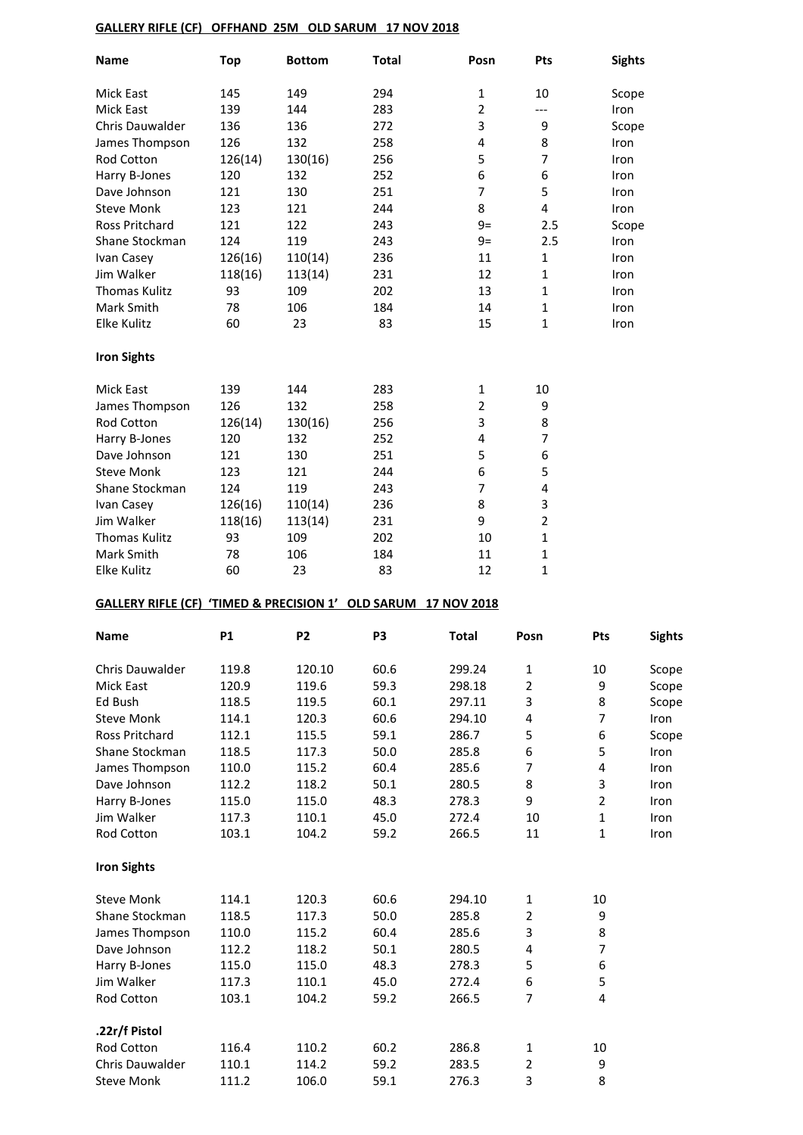## **GALLERY RIFLE (CF) OFFHAND 25M OLD SARUM 17 NOV 2018**

| Name                                                           | <b>Top</b> | <b>Bottom</b>  | <b>Total</b> | Posn           | Pts                     | <b>Sights</b>           |               |
|----------------------------------------------------------------|------------|----------------|--------------|----------------|-------------------------|-------------------------|---------------|
| Mick East                                                      | 145        | 149            | 294          | 1              | 10                      | Scope                   |               |
| Mick East                                                      | 139        | 144            | 283          | $\overline{2}$ | ---                     | Iron                    |               |
| Chris Dauwalder                                                | 136        | 136            | 272          | 3              | 9                       | Scope                   |               |
| James Thompson                                                 | 126        | 132            | 258          | 4              | 8                       | Iron                    |               |
| <b>Rod Cotton</b>                                              | 126(14)    | 130(16)        | 256          | 5              | $\overline{7}$          | Iron                    |               |
| Harry B-Jones                                                  | 120        | 132            | 252          | 6              | 6                       | Iron                    |               |
| Dave Johnson                                                   | 121        | 130            | 251          | 7              | 5                       | Iron                    |               |
| <b>Steve Monk</b>                                              | 123        | 121            | 244          | 8              | 4                       | Iron                    |               |
| Ross Pritchard                                                 | 121        | 122            | 243          | $9=$           | 2.5                     | Scope                   |               |
| Shane Stockman                                                 | 124        | 119            | 243          | $9=$           | 2.5                     | Iron                    |               |
| Ivan Casey                                                     | 126(16)    | 110(14)        | 236          | 11             | 1                       | Iron                    |               |
| Jim Walker                                                     | 118(16)    | 113(14)        | 231          | 12             | 1                       | Iron                    |               |
| Thomas Kulitz                                                  | 93         | 109            | 202          | 13             | 1                       | Iron                    |               |
|                                                                |            |                |              |                | 1                       |                         |               |
| Mark Smith<br><b>Elke Kulitz</b>                               | 78         | 106            | 184          | 14             | $\mathbf{1}$            | Iron                    |               |
|                                                                | 60         | 23             | 83           | 15             |                         | Iron                    |               |
| <b>Iron Sights</b>                                             |            |                |              |                |                         |                         |               |
| <b>Mick East</b>                                               | 139        | 144            | 283          | 1              | $10\,$                  |                         |               |
| James Thompson                                                 | 126        | 132            | 258          | 2              | 9                       |                         |               |
| Rod Cotton                                                     | 126(14)    | 130(16)        | 256          | 3              | 8                       |                         |               |
| Harry B-Jones                                                  | 120        | 132            | 252          | 4              | $\overline{7}$          |                         |               |
| Dave Johnson                                                   | 121        | 130            | 251          | 5              | 6                       |                         |               |
| <b>Steve Monk</b>                                              | 123        | 121            | 244          | 6              | 5                       |                         |               |
| Shane Stockman                                                 | 124        | 119            | 243          | 7              | $\overline{\mathbf{4}}$ |                         |               |
| Ivan Casey                                                     | 126(16)    | 110(14)        | 236          | 8              | 3                       |                         |               |
| Jim Walker                                                     | 118(16)    | 113(14)        | 231          | 9              | $\overline{2}$          |                         |               |
| <b>Thomas Kulitz</b>                                           | 93         | 109            | 202          | 10             | $\mathbf{1}$            |                         |               |
| Mark Smith                                                     | 78         | 106            | 184          | 11             | $\mathbf{1}$            |                         |               |
| Elke Kulitz                                                    | 60         | 23             | 83           | 12             | 1                       |                         |               |
| GALLERY RIFLE (CF) 'TIMED & PRECISION 1' OLD SARUM 17 NOV 2018 |            |                |              |                |                         |                         |               |
| <b>Name</b>                                                    | <b>P1</b>  | P <sub>2</sub> | P3           | <b>Total</b>   | Posn                    | Pts                     | <b>Sights</b> |
| Chris Dauwalder                                                | 119.8      | 120.10         | 60.6         | 299.24         | $\mathbf{1}$            | 10                      | Scope         |
| Mick East                                                      | 120.9      | 119.6          | 59.3         | 298.18         | $\mathbf 2$             | 9                       | Scope         |
| Ed Bush                                                        | 118.5      | 119.5          | 60.1         | 297.11         | 3                       | 8                       | Scope         |
| <b>Steve Monk</b>                                              | 114.1      | 120.3          | 60.6         | 294.10         | $\pmb{4}$               | 7                       | Iron          |
| Ross Pritchard                                                 | 112.1      | 115.5          | 59.1         | 286.7          | 5                       | 6                       | Scope         |
| Shane Stockman                                                 | 118.5      | 117.3          | 50.0         | 285.8          | $\boldsymbol{6}$        | 5                       | Iron          |
| James Thompson                                                 | 110.0      | 115.2          | 60.4         | 285.6          | $\overline{7}$          | 4                       | Iron          |
| Dave Johnson                                                   | 112.2      | 118.2          | 50.1         | 280.5          | 8                       | 3                       | Iron          |
| Harry B-Jones                                                  | 115.0      | 115.0          | 48.3         | 278.3          | 9                       | $\overline{2}$          | Iron          |
| Jim Walker                                                     | 117.3      | 110.1          | 45.0         | 272.4          | $10\,$                  | 1                       | Iron          |
| Rod Cotton                                                     | 103.1      | 104.2          | 59.2         | 266.5          | 11                      | $\mathbf{1}$            | Iron          |
|                                                                |            |                |              |                |                         |                         |               |
| <b>Iron Sights</b>                                             |            |                |              |                |                         |                         |               |
| <b>Steve Monk</b>                                              | 114.1      | 120.3          | 60.6         | 294.10         | $\mathbf 1$             | 10                      |               |
| Shane Stockman                                                 | 118.5      | 117.3          | 50.0         | 285.8          | $\mathbf 2$             | 9                       |               |
| James Thompson                                                 | 110.0      | 115.2          | 60.4         | 285.6          | 3                       | 8                       |               |
| Dave Johnson                                                   | 112.2      | 118.2          | 50.1         | 280.5          | $\pmb{4}$               | 7                       |               |
| Harry B-Jones                                                  | 115.0      | 115.0          | 48.3         | 278.3          | 5                       | 6                       |               |
| Jim Walker                                                     | 117.3      | 110.1          | 45.0         | 272.4          | 6                       | 5                       |               |
| Rod Cotton                                                     | 103.1      | 104.2          | 59.2         | 266.5          | 7                       | $\overline{\mathbf{4}}$ |               |
|                                                                |            |                |              |                |                         |                         |               |
| .22r/f Pistol                                                  |            |                |              |                |                         |                         |               |
| Rod Cotton                                                     | 116.4      | 110.2          | 60.2         | 286.8          | $\mathbf 1$             | $10\,$                  |               |
| Chris Dauwalder                                                | 110.1      | 114.2          | 59.2         | 283.5          | $\overline{2}$          | 9                       |               |
| <b>Steve Monk</b>                                              | 111.2      | 106.0          | 59.1         | 276.3          | 3                       | 8                       |               |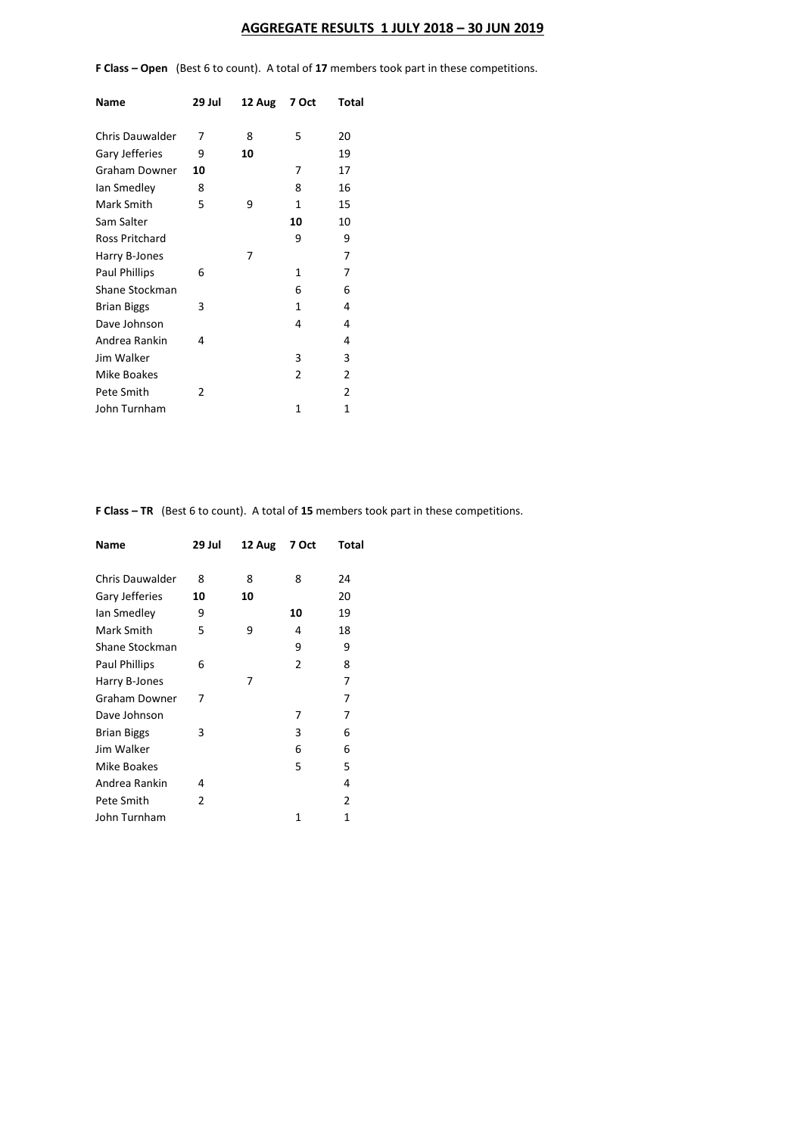## **AGGREGATE RESULTS 1 JULY 2018 – 30 JUN 2019**

**F Class – Open** (Best 6 to count). A total of **17** members took part in these competitions.

| Name                   | 29 Jul | 12 Aug | 7 Oct          | Total          |
|------------------------|--------|--------|----------------|----------------|
| <b>Chris Dauwalder</b> | 7      | 8      | 5              | 20             |
| Gary Jefferies         | 9      | 10     |                | 19             |
| Graham Downer          | 10     |        | 7              | 17             |
| lan Smedley            | 8      |        | 8              | 16             |
| Mark Smith             | 5      | 9      | 1              | 15             |
| Sam Salter             |        |        | 10             | 10             |
| Ross Pritchard         |        |        | 9              | 9              |
| Harry B-Jones          |        | 7      |                | 7              |
| <b>Paul Phillips</b>   | 6      |        | 1              | 7              |
| Shane Stockman         |        |        | 6              | 6              |
| <b>Brian Biggs</b>     | 3      |        | 1              | 4              |
| Dave Johnson           |        |        | 4              | 4              |
| Andrea Rankin          | 4      |        |                | 4              |
| Jim Walker             |        |        | 3              | 3              |
| Mike Boakes            |        |        | $\overline{2}$ | $\overline{2}$ |
| Pete Smith             | 2      |        |                | $\overline{2}$ |
| John Turnham           |        |        | 1              | 1              |

**F Class – TR** (Best 6 to count). A total of **15** members took part in these competitions.

| Name                 | 29 Jul | 12 Aug | 7 Oct          | Total |
|----------------------|--------|--------|----------------|-------|
| Chris Dauwalder      | 8      | 8      | 8              | 24    |
| Gary Jefferies       | 10     | 10     |                | 20    |
| lan Smedley          | 9      |        | 10             | 19    |
| Mark Smith           | 5      | 9      | 4              | 18    |
| Shane Stockman       |        |        | 9              | 9     |
| <b>Paul Phillips</b> | 6      |        | $\overline{2}$ | 8     |
| Harry B-Jones        |        | 7      |                | 7     |
| Graham Downer        | 7      |        |                | 7     |
| Dave Johnson         |        |        | 7              | 7     |
| <b>Brian Biggs</b>   | 3      |        | 3              | 6     |
| Jim Walker           |        |        | 6              | 6     |
| Mike Boakes          |        |        | 5              | 5     |
| Andrea Rankin        | 4      |        |                | 4     |
| Pete Smith           | 2      |        |                | 2     |
| John Turnham         |        |        | 1              | 1     |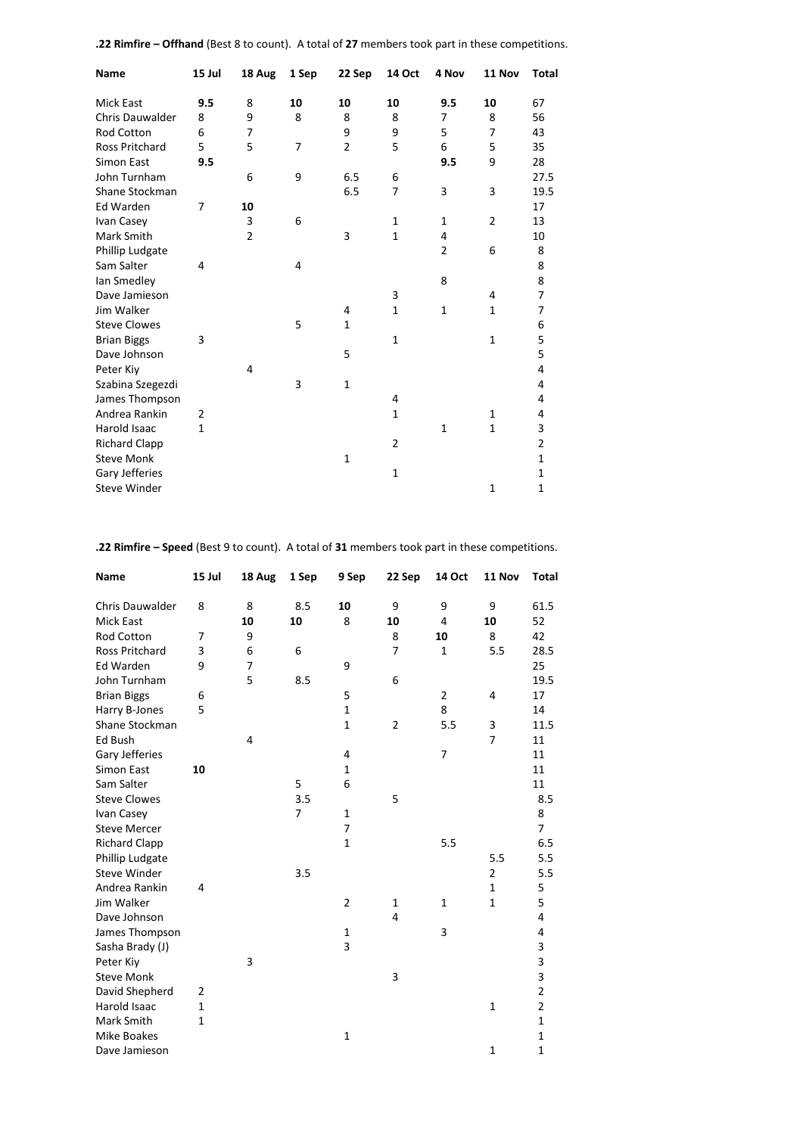| Name                   | 15 Jul         | 18 Aug         | 1 Sep | 22 Sep         | 14 Oct         | 4 Nov          | 11 Nov         | <b>Total</b>            |
|------------------------|----------------|----------------|-------|----------------|----------------|----------------|----------------|-------------------------|
| <b>Mick East</b>       | 9.5            | 8              | 10    | 10             | 10             | 9.5            | 10             | 67                      |
| <b>Chris Dauwalder</b> | 8              | 9              | 8     | 8              | 8              | 7              | 8              | 56                      |
| <b>Rod Cotton</b>      | 6              | 7              |       | 9              | 9              | 5              | $\overline{7}$ | 43                      |
| <b>Ross Pritchard</b>  | 5              | 5              | 7     | $\overline{2}$ | 5              | 6              | 5              | 35                      |
| Simon East             | 9.5            |                |       |                |                | 9.5            | 9              | 28                      |
| John Turnham           |                | 6              | 9     | 6.5            | 6              |                |                | 27.5                    |
| Shane Stockman         |                |                |       | 6.5            | 7              | 3              | 3              | 19.5                    |
| Ed Warden              | 7              | 10             |       |                |                |                |                | 17                      |
| Ivan Casey             |                | 3              | 6     |                | $\mathbf{1}$   | $\mathbf{1}$   | $\overline{2}$ | 13                      |
| Mark Smith             |                | $\overline{2}$ |       | 3              | $\mathbf 1$    | 4              |                | 10                      |
| Phillip Ludgate        |                |                |       |                |                | $\overline{2}$ | 6              | 8                       |
| Sam Salter             | $\overline{4}$ |                | 4     |                |                |                |                | 8                       |
| lan Smedley            |                |                |       |                |                | 8              |                | 8                       |
| Dave Jamieson          |                |                |       |                | 3              |                | 4              | 7                       |
| Jim Walker             |                |                |       | 4              | $\mathbf{1}$   | $\mathbf 1$    | 1              | 7                       |
| <b>Steve Clowes</b>    |                |                | 5     | $\mathbf{1}$   |                |                |                | 6                       |
| <b>Brian Biggs</b>     | 3              |                |       |                | $\mathbf{1}$   |                | $\mathbf{1}$   | 5                       |
| Dave Johnson           |                |                |       | 5              |                |                |                | 5                       |
| Peter Kiy              |                | 4              |       |                |                |                |                | 4                       |
| Szabina Szegezdi       |                |                | 3     | $\mathbf{1}$   |                |                |                | 4                       |
| James Thompson         |                |                |       |                | 4              |                |                | 4                       |
| Andrea Rankin          | 2              |                |       |                | $\mathbf{1}$   |                | 1              | 4                       |
| Harold Isaac           | $\mathbf{1}$   |                |       |                |                | $\mathbf{1}$   | $\mathbf{1}$   | 3                       |
| <b>Richard Clapp</b>   |                |                |       |                | $\overline{2}$ |                |                | $\overline{\mathbf{c}}$ |
| <b>Steve Monk</b>      |                |                |       | $\mathbf{1}$   |                |                |                | $\mathbf{1}$            |
| Gary Jefferies         |                |                |       |                | $\mathbf 1$    |                |                | $\mathbf{1}$            |
| <b>Steve Winder</b>    |                |                |       |                |                |                | 1              | 1                       |

**.22 Rimfire – Offhand** (Best 8 to count). A total of **27** members took part in these competitions.

**.22 Rimfire – Speed** (Best 9 to count). A total of **31** members took part in these competitions.

| Name                  | 15 Jul         | 18 Aug         | 1 Sep          | 9 Sep          | 22 Sep         | <b>14 Oct</b>  | 11 Nov         | Total          |
|-----------------------|----------------|----------------|----------------|----------------|----------------|----------------|----------------|----------------|
| Chris Dauwalder       | 8              | 8              | 8.5            | 10             | 9              | 9              | 9              | 61.5           |
| <b>Mick East</b>      |                | 10             | 10             | 8              | 10             | 4              | 10             | 52             |
| Rod Cotton            | 7              | 9              |                |                | 8              | 10             | 8              | 42             |
| <b>Ross Pritchard</b> | 3              | 6              | 6              |                | 7              | 1              | 5.5            | 28.5           |
| Ed Warden             | 9              | $\overline{7}$ |                | 9              |                |                |                | 25             |
| John Turnham          |                | 5              | 8.5            |                | 6              |                |                | 19.5           |
| <b>Brian Biggs</b>    | 6              |                |                | 5              |                | $\overline{2}$ | 4              | 17             |
| Harry B-Jones         | 5              |                |                | $\mathbf{1}$   |                | 8              |                | 14             |
| Shane Stockman        |                |                |                | $\mathbf 1$    | $\overline{2}$ | 5.5            | 3              | 11.5           |
| Ed Bush               |                | 4              |                |                |                |                | $\overline{7}$ | 11             |
| Gary Jefferies        |                |                |                | 4              |                | 7              |                | 11             |
| Simon East            | 10             |                |                | $\mathbf{1}$   |                |                |                | 11             |
| Sam Salter            |                |                | 5              | 6              |                |                |                | 11             |
| <b>Steve Clowes</b>   |                |                | 3.5            |                | 5              |                |                | 8.5            |
| Ivan Casey            |                |                | $\overline{7}$ | $\mathbf{1}$   |                |                |                | 8              |
| <b>Steve Mercer</b>   |                |                |                | $\overline{7}$ |                |                |                | $\overline{7}$ |
| <b>Richard Clapp</b>  |                |                |                | $\mathbf{1}$   |                | 5.5            |                | 6.5            |
| Phillip Ludgate       |                |                |                |                |                |                | 5.5            | 5.5            |
| <b>Steve Winder</b>   |                |                | 3.5            |                |                |                | 2              | 5.5            |
| Andrea Rankin         | 4              |                |                |                |                |                | $\mathbf{1}$   | 5              |
| Jim Walker            |                |                |                | $\overline{2}$ | $\mathbf{1}$   | $\mathbf{1}$   | $\mathbf{1}$   | 5              |
| Dave Johnson          |                |                |                |                | $\overline{4}$ |                |                | 4              |
| James Thompson        |                |                |                | $\mathbf{1}$   |                | 3              |                | 4              |
| Sasha Brady (J)       |                |                |                | 3              |                |                |                | 3              |
| Peter Kiy             |                | 3              |                |                |                |                |                | 3              |
| <b>Steve Monk</b>     |                |                |                |                | 3              |                |                | 3              |
| David Shepherd        | $\overline{2}$ |                |                |                |                |                |                | $\overline{2}$ |
| <b>Harold Isaac</b>   | $\mathbf{1}$   |                |                |                |                |                | $\mathbf{1}$   | $\overline{2}$ |
| Mark Smith            | $\mathbf{1}$   |                |                |                |                |                |                | $\mathbf{1}$   |
| <b>Mike Boakes</b>    |                |                |                | $\mathbf 1$    |                |                |                | $\mathbf 1$    |
| Dave Jamieson         |                |                |                |                |                |                | $\mathbf 1$    | $\mathbf{1}$   |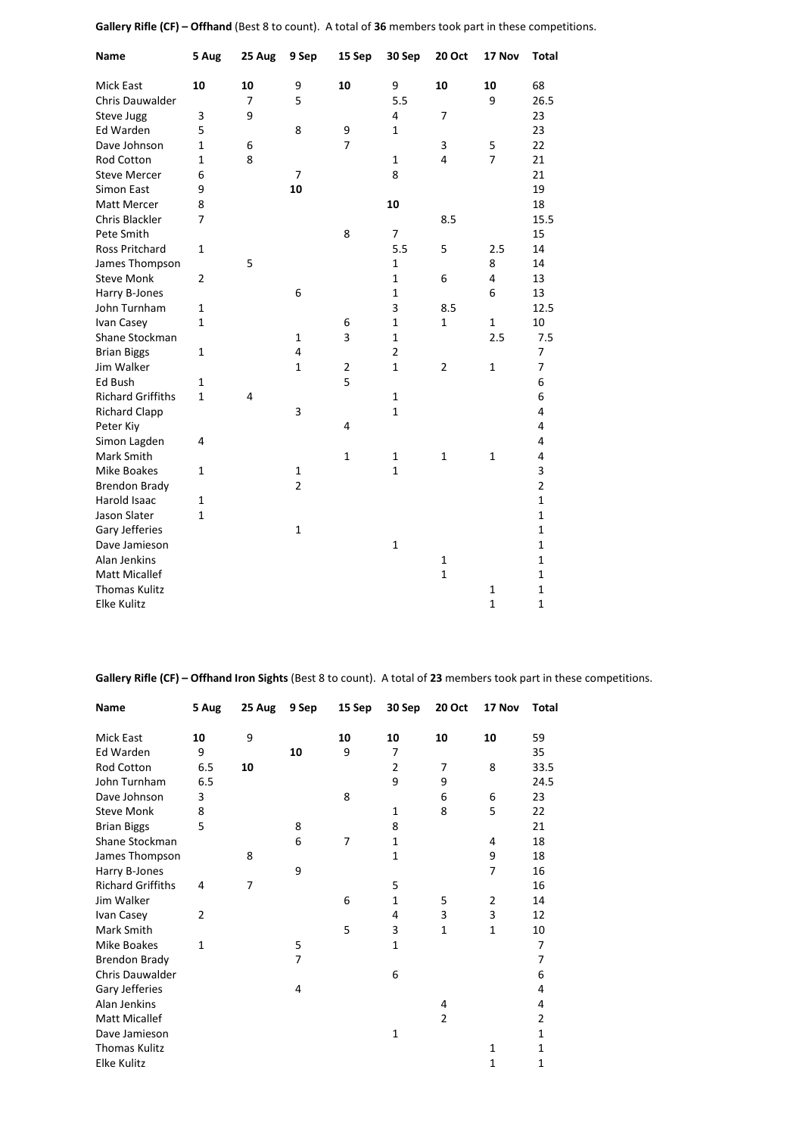| Name                     | 5 Aug          | 25 Aug | 9 Sep          | 15 Sep         | 30 Sep         | <b>20 Oct</b>  | 17 Nov         | <b>Total</b>   |
|--------------------------|----------------|--------|----------------|----------------|----------------|----------------|----------------|----------------|
| <b>Mick East</b>         | 10             | 10     | 9              | 10             | 9              | 10             | 10             | 68             |
| <b>Chris Dauwalder</b>   |                | 7      | 5              |                | 5.5            |                | 9              | 26.5           |
| Steve Jugg               | 3              | 9      |                |                | 4              | $\overline{7}$ |                | 23             |
| Ed Warden                | 5              |        | 8              | 9              | 1              |                |                | 23             |
| Dave Johnson             | $\mathbf{1}$   | 6      |                | $\overline{7}$ |                | 3              | 5              | 22             |
| <b>Rod Cotton</b>        | $\mathbf{1}$   | 8      |                |                | $\mathbf 1$    | 4              | $\overline{7}$ | 21             |
| <b>Steve Mercer</b>      | 6              |        | 7              |                | 8              |                |                | 21             |
| Simon East               | 9              |        | 10             |                |                |                |                | 19             |
| Matt Mercer              | 8              |        |                |                | 10             |                |                | 18             |
| Chris Blackler           | 7              |        |                |                |                | 8.5            |                | 15.5           |
| Pete Smith               |                |        |                | 8              | 7              |                |                | 15             |
| <b>Ross Pritchard</b>    | 1              |        |                |                | 5.5            | 5              | 2.5            | 14             |
| James Thompson           |                | 5      |                |                | 1              |                | 8              | 14             |
| <b>Steve Monk</b>        | $\overline{2}$ |        |                |                | 1              | 6              | 4              | 13             |
| Harry B-Jones            |                |        | 6              |                | $\mathbf{1}$   |                | 6              | 13             |
| John Turnham             | 1              |        |                |                | 3              | 8.5            |                | 12.5           |
| Ivan Casey               | 1              |        |                | 6              | $\mathbf{1}$   | $\mathbf{1}$   | $\mathbf{1}$   | 10             |
| Shane Stockman           |                |        | $\mathbf{1}$   | 3              | $\mathbf 1$    |                | 2.5            | 7.5            |
| <b>Brian Biggs</b>       | 1              |        | 4              |                | $\overline{2}$ |                |                | 7              |
| Jim Walker               |                |        | $\mathbf{1}$   | $\overline{2}$ | $\mathbf{1}$   | $\overline{2}$ | $\mathbf{1}$   | $\overline{7}$ |
| Ed Bush                  | 1              |        |                | 5              |                |                |                | 6              |
| <b>Richard Griffiths</b> | $\mathbf{1}$   | 4      |                |                | $\mathbf 1$    |                |                | 6              |
| <b>Richard Clapp</b>     |                |        | 3              |                | 1              |                |                | $\overline{4}$ |
| Peter Kiy                |                |        |                | 4              |                |                |                | $\overline{4}$ |
| Simon Lagden             | 4              |        |                |                |                |                |                | $\overline{4}$ |
| Mark Smith               |                |        |                | $\mathbf{1}$   | 1              | $\mathbf{1}$   | $\mathbf{1}$   | $\overline{4}$ |
| <b>Mike Boakes</b>       | $\mathbf{1}$   |        | $\mathbf{1}$   |                | $\mathbf{1}$   |                |                | 3              |
| <b>Brendon Brady</b>     |                |        | $\overline{2}$ |                |                |                |                | $\overline{2}$ |
| <b>Harold Isaac</b>      | 1              |        |                |                |                |                |                | $\mathbf{1}$   |
| Jason Slater             | $\mathbf{1}$   |        |                |                |                |                |                | $\mathbf{1}$   |
| Gary Jefferies           |                |        | $\mathbf{1}$   |                |                |                |                | $\mathbf{1}$   |
| Dave Jamieson            |                |        |                |                | $\mathbf{1}$   |                |                | $\mathbf{1}$   |
| Alan Jenkins             |                |        |                |                |                | $\mathbf 1$    |                | $\mathbf{1}$   |
| <b>Matt Micallef</b>     |                |        |                |                |                | $\mathbf{1}$   |                | $\mathbf 1$    |
| <b>Thomas Kulitz</b>     |                |        |                |                |                |                | $\mathbf 1$    | $\mathbf 1$    |
| <b>Elke Kulitz</b>       |                |        |                |                |                |                | $\mathbf{1}$   | $\mathbf{1}$   |

**Gallery Rifle (CF) – Offhand** (Best 8 to count). A total of **36** members took part in these competitions.

**Gallery Rifle (CF) – Offhand Iron Sights** (Best 8 to count). A total of **23** members took part in these competitions.

| <b>Name</b>              | 5 Aug        | 25 Aug | 9 Sep          | 15 Sep | 30 Sep         | 20 Oct         | 17 Nov         | <b>Total</b> |
|--------------------------|--------------|--------|----------------|--------|----------------|----------------|----------------|--------------|
| <b>Mick East</b>         | 10           | 9      |                | 10     | 10             | 10             | 10             | 59           |
| Ed Warden                | 9            |        | 10             | 9      | 7              |                |                | 35           |
| Rod Cotton               | 6.5          | 10     |                |        | $\overline{2}$ | 7              | 8              | 33.5         |
| John Turnham             | 6.5          |        |                |        | 9              | 9              |                | 24.5         |
| Dave Johnson             | 3            |        |                | 8      |                | 6              | 6              | 23           |
| <b>Steve Monk</b>        | 8            |        |                |        | 1              | 8              | 5              | 22           |
| <b>Brian Biggs</b>       | 5            |        | 8              |        | 8              |                |                | 21           |
| Shane Stockman           |              |        | 6              | 7      | $\mathbf{1}$   |                | 4              | 18           |
|                          |              | 8      |                |        | 1              |                | 9              |              |
| James Thompson           |              |        |                |        |                |                | 7              | 18           |
| Harry B-Jones            |              |        | 9              |        |                |                |                | 16           |
| <b>Richard Griffiths</b> | 4            | 7      |                |        | 5              |                |                | 16           |
| Jim Walker               |              |        |                | 6      | 1              | 5              | $\overline{2}$ | 14           |
| Ivan Casey               | 2            |        |                |        | 4              | 3              | 3              | 12           |
| Mark Smith               |              |        |                | 5      | 3              | $\mathbf{1}$   | $\mathbf{1}$   | 10           |
| Mike Boakes              | $\mathbf{1}$ |        | 5              |        | 1              |                |                | 7            |
| <b>Brendon Brady</b>     |              |        | $\overline{7}$ |        |                |                |                | 7            |
| Chris Dauwalder          |              |        |                |        | 6              |                |                | 6            |
| Gary Jefferies           |              |        | 4              |        |                |                |                | 4            |
| Alan Jenkins             |              |        |                |        |                | 4              |                | 4            |
| <b>Matt Micallef</b>     |              |        |                |        |                | $\overline{2}$ |                | 2            |
| Dave Jamieson            |              |        |                |        | $\mathbf{1}$   |                |                | 1            |
| <b>Thomas Kulitz</b>     |              |        |                |        |                |                | 1              | 1            |
| <b>Elke Kulitz</b>       |              |        |                |        |                |                | 1              | 1            |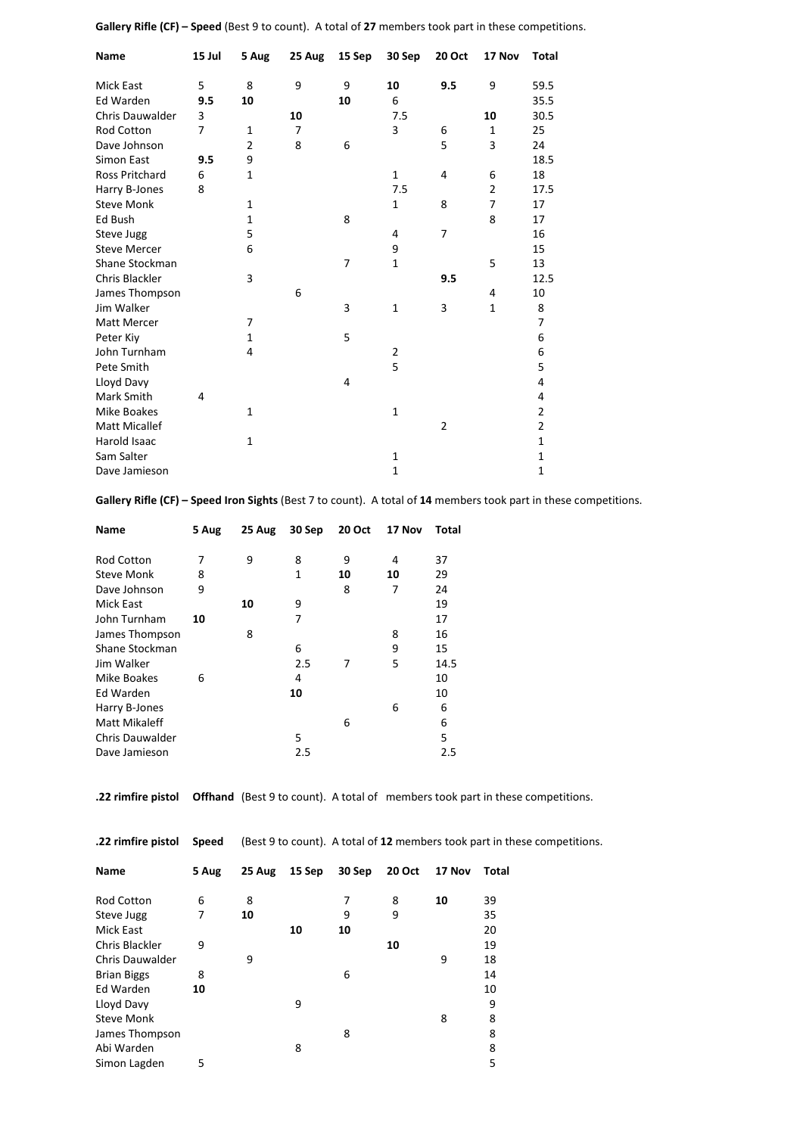| Name                  | 15 Jul | 5 Aug          | 25 Aug         | 15 Sep | 30 Sep         | <b>20 Oct</b>  | 17 Nov         | Total          |
|-----------------------|--------|----------------|----------------|--------|----------------|----------------|----------------|----------------|
| <b>Mick East</b>      | 5      | 8              | 9              | 9      | 10             | 9.5            | 9              | 59.5           |
| <b>Ed Warden</b>      | 9.5    | 10             |                | 10     | 6              |                |                | 35.5           |
| Chris Dauwalder       | 3      |                | 10             |        | 7.5            |                | 10             | 30.5           |
| Rod Cotton            | 7      | 1              | $\overline{7}$ |        | 3              | 6              | 1              | 25             |
| Dave Johnson          |        | $\overline{2}$ | 8              | 6      |                | 5              | 3              | 24             |
| Simon East            | 9.5    | 9              |                |        |                |                |                | 18.5           |
| <b>Ross Pritchard</b> | 6      | $\mathbf{1}$   |                |        | 1              | 4              | 6              | 18             |
| Harry B-Jones         | 8      |                |                |        | 7.5            |                | $\overline{2}$ | 17.5           |
| <b>Steve Monk</b>     |        | $\mathbf{1}$   |                |        | 1              | 8              | $\overline{7}$ | 17             |
| Ed Bush               |        | 1              |                | 8      |                |                | 8              | 17             |
| Steve Jugg            |        | 5              |                |        | 4              | 7              |                | 16             |
| <b>Steve Mercer</b>   |        | 6              |                |        | 9              |                |                | 15             |
| Shane Stockman        |        |                |                | 7      | $\mathbf{1}$   |                | 5              | 13             |
| Chris Blackler        |        | 3              |                |        |                | 9.5            |                | 12.5           |
| James Thompson        |        |                | 6              |        |                |                | 4              | 10             |
| Jim Walker            |        |                |                | 3      | $\mathbf 1$    | 3              | $\mathbf{1}$   | 8              |
| <b>Matt Mercer</b>    |        | 7              |                |        |                |                |                | $\overline{7}$ |
| Peter Kiy             |        | $\mathbf{1}$   |                | 5      |                |                |                | 6              |
| John Turnham          |        | 4              |                |        | $\overline{2}$ |                |                | 6              |
| Pete Smith            |        |                |                |        | 5              |                |                | 5              |
| Lloyd Davy            |        |                |                | 4      |                |                |                | 4              |
| <b>Mark Smith</b>     | 4      |                |                |        |                |                |                | 4              |
| <b>Mike Boakes</b>    |        | $\mathbf{1}$   |                |        | $\mathbf{1}$   |                |                | $\overline{2}$ |
| <b>Matt Micallef</b>  |        |                |                |        |                | $\overline{2}$ |                | $\overline{2}$ |
| Harold Isaac          |        | $\mathbf{1}$   |                |        |                |                |                | 1              |
| Sam Salter            |        |                |                |        | 1              |                |                | 1              |
| Dave Jamieson         |        |                |                |        | $\mathbf{1}$   |                |                | $\mathbf{1}$   |

**Gallery Rifle (CF) – Speed** (Best 9 to count). A total of **27** members took part in these competitions.

**Gallery Rifle (CF) – Speed Iron Sights** (Best 7 to count). A total of **14** members took part in these competitions.

| 5 Aug | 25 Aug | 30 Sep | 20 Oct | 17 Nov | Total |
|-------|--------|--------|--------|--------|-------|
| 7     | 9      | 8      | 9      | 4      | 37    |
| 8     |        | 1      | 10     | 10     | 29    |
| 9     |        |        | 8      | 7      | 24    |
|       | 10     | 9      |        |        | 19    |
| 10    |        | 7      |        |        | 17    |
|       | 8      |        |        | 8      | 16    |
|       |        | 6      |        | 9      | 15    |
|       |        | 2.5    | 7      | 5      | 14.5  |
| 6     |        | 4      |        |        | 10    |
|       |        | 10     |        |        | 10    |
|       |        |        |        | 6      | 6     |
|       |        |        | 6      |        | 6     |
|       |        | 5      |        |        | 5     |
|       |        | 2.5    |        |        | 2.5   |
|       |        |        |        |        |       |

**.22 rimfire pistol Offhand** (Best 9 to count). A total of members took part in these competitions.

| .22 rimfire pistol     | Speed | (Best 9 to count). A total of 12 members took part in these competitions. |        |        |        |        |       |  |
|------------------------|-------|---------------------------------------------------------------------------|--------|--------|--------|--------|-------|--|
| Name                   | 5 Aug | 25 Aug                                                                    | 15 Sep | 30 Sep | 20 Oct | 17 Nov | Total |  |
| <b>Rod Cotton</b>      | 6     | 8                                                                         |        | 7      | 8      | 10     | 39    |  |
| Steve Jugg             | 7     | 10                                                                        |        | 9      | 9      |        | 35    |  |
| Mick East              |       |                                                                           | 10     | 10     |        |        | 20    |  |
| Chris Blackler         | 9     |                                                                           |        |        | 10     |        | 19    |  |
| <b>Chris Dauwalder</b> |       | 9                                                                         |        |        |        | 9      | 18    |  |
| <b>Brian Biggs</b>     | 8     |                                                                           |        | 6      |        |        | 14    |  |
| Ed Warden              | 10    |                                                                           |        |        |        |        | 10    |  |
| Lloyd Davy             |       |                                                                           | 9      |        |        |        | 9     |  |
| <b>Steve Monk</b>      |       |                                                                           |        |        |        | 8      | 8     |  |
| James Thompson         |       |                                                                           |        | 8      |        |        | 8     |  |
| Abi Warden             |       |                                                                           | 8      |        |        |        | 8     |  |
| Simon Lagden           | 5     |                                                                           |        |        |        |        | 5     |  |